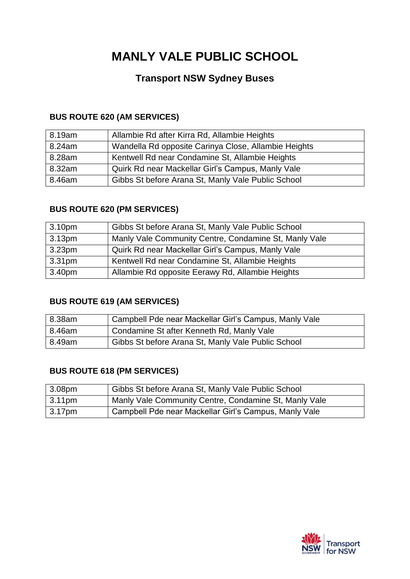# **MANLY VALE PUBLIC SCHOOL**

# **Transport NSW Sydney Buses**

### **BUS ROUTE 620 (AM SERVICES)**

| 8.19am | Allambie Rd after Kirra Rd, Allambie Heights         |
|--------|------------------------------------------------------|
| 8.24am | Wandella Rd opposite Carinya Close, Allambie Heights |
| 8.28am | Kentwell Rd near Condamine St, Allambie Heights      |
| 8.32am | Quirk Rd near Mackellar Girl's Campus, Manly Vale    |
| 8.46am | Gibbs St before Arana St, Manly Vale Public School   |

### **BUS ROUTE 620 (PM SERVICES)**

| 3.10 <sub>pm</sub> | Gibbs St before Arana St, Manly Vale Public School    |
|--------------------|-------------------------------------------------------|
| 3.13 <sub>pm</sub> | Manly Vale Community Centre, Condamine St, Manly Vale |
| 3.23pm             | Quirk Rd near Mackellar Girl's Campus, Manly Vale     |
| 3.31 <sub>pm</sub> | Kentwell Rd near Condamine St, Allambie Heights       |
| 3.40pm             | Allambie Rd opposite Eerawy Rd, Allambie Heights      |

### **BUS ROUTE 619 (AM SERVICES)**

| 8.38am | Campbell Pde near Mackellar Girl's Campus, Manly Vale |
|--------|-------------------------------------------------------|
| 8.46am | Condamine St after Kenneth Rd, Manly Vale             |
| 8.49am | Gibbs St before Arana St, Manly Vale Public School    |

### **BUS ROUTE 618 (PM SERVICES)**

| $\vert$ 3.08pm | Gibbs St before Arana St, Manly Vale Public School    |
|----------------|-------------------------------------------------------|
| 3.11pm         | Manly Vale Community Centre, Condamine St, Manly Vale |
| 3.17pm         | Campbell Pde near Mackellar Girl's Campus, Manly Vale |